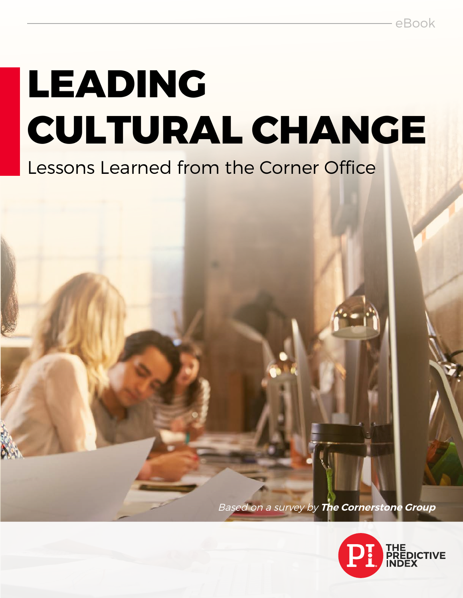# **LEADING CULTURAL CHANGE**

# Lessons Learned from the Corner Office

Based on a survey by **The Cornerstone Group**

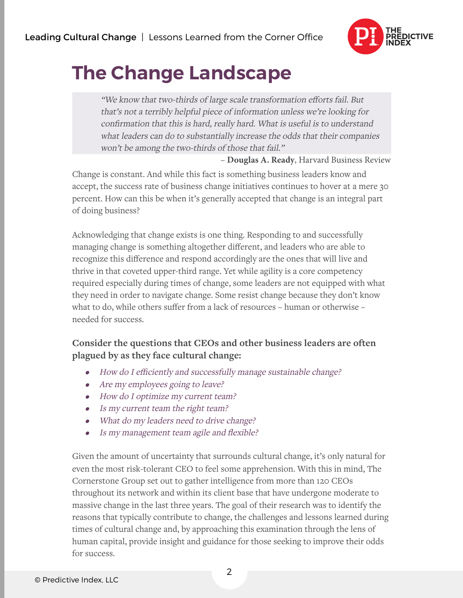

# **The Change Landscape**

"We know that two-thirds of large scale transformation efforts fail. But that's not a terribly helpful piece of information unless we're looking for confirmation that this is hard, really hard. What is useful is to understand what leaders can do to substantially increase the odds that their companies won't be among the two-thirds of those that fail."

– **Douglas A. Ready**, Harvard Business Review

Change is constant. And while this fact is something business leaders know and accept, the success rate of business change initiatives continues to hover at a mere 30 percent. How can this be when it's generally accepted that change is an integral part of doing business?

Acknowledging that change exists is one thing. Responding to and successfully managing change is something altogether different, and leaders who are able to recognize this difference and respond accordingly are the ones that will live and thrive in that coveted upper-third range. Yet while agility is a core competency required especially during times of change, some leaders are not equipped with what they need in order to navigate change. Some resist change because they don't know what to do, while others suffer from a lack of resources – human or otherwise – needed for success.

#### **Consider the questions that CEOs and other business leaders are often plagued by as they face cultural change:**

- •How do I efficiently and successfully manage sustainable change?
- •Are my employees going to leave?
- •How do I optimize my current team?
- •Is my current team the right team?
- •What do my leaders need to drive change?
- •Is my management team agile and flexible?

Given the amount of uncertainty that surrounds cultural change, it's only natural for even the most risk-tolerant CEO to feel some apprehension. With this in mind, The Cornerstone Group set out to gather intelligence from more than 120 CEOs throughout its network and within its client base that have undergone moderate to massive change in the last three years. The goal of their research was to identify the reasons that typically contribute to change, the challenges and lessons learned during times of cultural change and, by approaching this examination through the lens of human capital, provide insight and guidance for those seeking to improve their odds for success.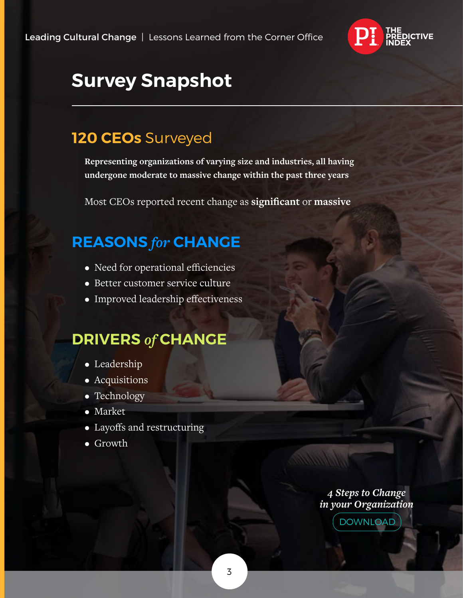

# **Survey Snapshot**

# **120 CEOs** Surveyed

**Representing organizations of varying size and industries, all having undergone moderate to massive change within the past three years**

Most CEOs reported recent change as **significant** or **massive**

# **REASONS** *for* **CHANGE**

- Need for operational efficiencies
- Better customer service culture
- Improved leadership effectiveness

### **DRIVERS** *of* **CHANGE**

- Leadership
- Acquisitions
- Technology
- Market
- Layoffs and restructuring
- Growth

*4 Steps to Change [in your Organization](http://go.predictiveindex.com/hr-role-in-managing-change)*

DOWNLOAD

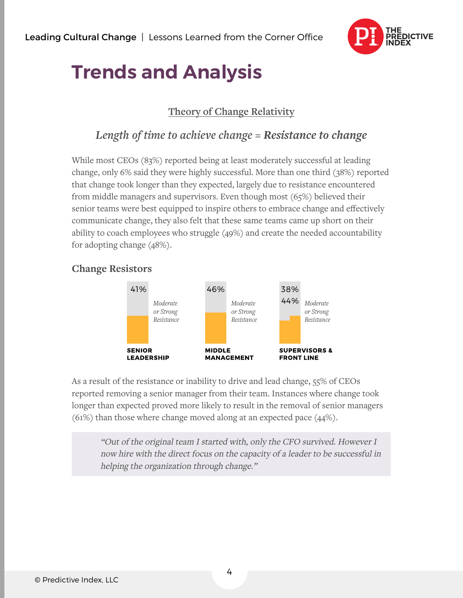

# **Trends and Analysis**

#### **Theory of Change Relativity**

#### *Length of time to achieve change = Resistance to change*

While most CEOs (83%) reported being at least moderately successful at leading change, only 6% said they were highly successful. More than one third (38%) reported that change took longer than they expected, largely due to resistance encountered from middle managers and supervisors. Even though most (65%) believed their senior teams were best equipped to inspire others to embrace change and effectively communicate change, they also felt that these same teams came up short on their ability to coach employees who struggle (49%) and create the needed accountability for adopting change (48%).

#### 41% 46% 38% 44% *Moderate Moderate Moderate or Strong or Strong or Strong Resistance Resistance Resistance***SENIOR MIDDLE SUPERVISORS & LEADERSHIP MANAGEMENT FRONT LINE**

# As a result of the resistance or inability to drive and lead change, 55% of CEOs reported removing a senior manager from their team. Instances where change took longer than expected proved more likely to result in the removal of senior managers

(61%) than those where change moved along at an expected pace (44%).

"Out of the original team I started with, only the CFO survived. However I now hire with the direct focus on the capacity of a leader to be successful in helping the organization through change."

#### **Change Resistors**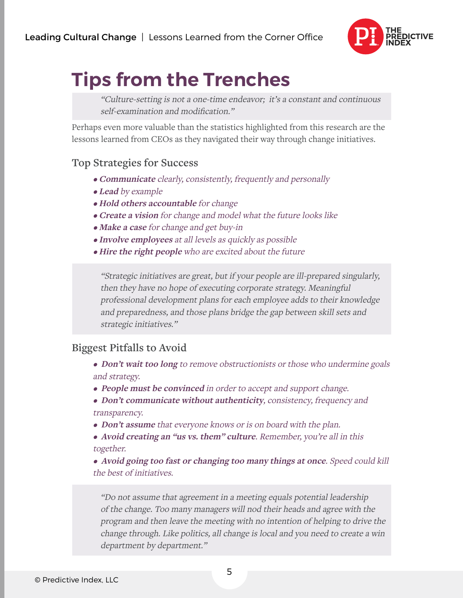

# **Tips from the Trenches**

"Culture-setting is not a one-time endeavor; it's a constant and continuous self-examination and modification."

Perhaps even more valuable than the statistics highlighted from this research are the lessons learned from CEOs as they navigated their way through change initiatives.

#### **Top Strategies for Success**

- **Communicate** clearly, consistently, frequently and personally
- **Lead** by example
- **Hold others accountable** for change
- **Create a vision** for change and model what the future looks like
- **Make a case** for change and get buy-in
- **Involve employees** at all levels as quickly as possible
- **Hire the right people** who are excited about the future

"Strategic initiatives are great, but if your people are ill-prepared singularly, then they have no hope of executing corporate strategy. Meaningful professional development plans for each employee adds to their knowledge and preparedness, and those plans bridge the gap between skill sets and strategic initiatives."

#### **Biggest Pitfalls to Avoid**

- **Don't wait too long** to remove obstructionists or those who undermine goals and strategy.
- **People must be convinced** in order to accept and support change.
- **Don't communicate without authenticity**, consistency, frequency and transparency.
- **Don't assume** that everyone knows or is on board with the plan.
- **Avoid creating an "us vs. them" culture**. Remember, you're all in this together.

• **Avoid going too fast or changing too many things at once**. Speed could kill the best of initiatives.

"Do not assume that agreement in a meeting equals potential leadership of the change. Too many managers will nod their heads and agree with the program and then leave the meeting with no intention of helping to drive the change through. Like politics, all change is local and you need to create a win department by department."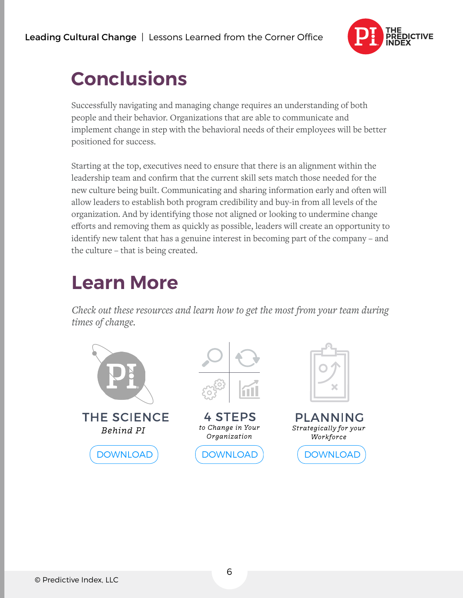

# **Conclusions**

Successfully navigating and managing change requires an understanding of both people and their behavior. Organizations that are able to communicate and implement change in step with the behavioral needs of their employees will be better positioned for success.

Starting at the top, executives need to ensure that there is an alignment within the leadership team and confirm that the current skill sets match those needed for the new culture being built. Communicating and sharing information early and often will allow leaders to establish both program credibility and buy-in from all levels of the organization. And by identifying those not aligned or looking to undermine change efforts and removing them as quickly as possible, leaders will create an opportunity to identify new talent that has a genuine interest in becoming part of the company – and the culture – that is being created.

# **Learn More**

*Check out these resources and learn how to get the most from your team during times of change.*

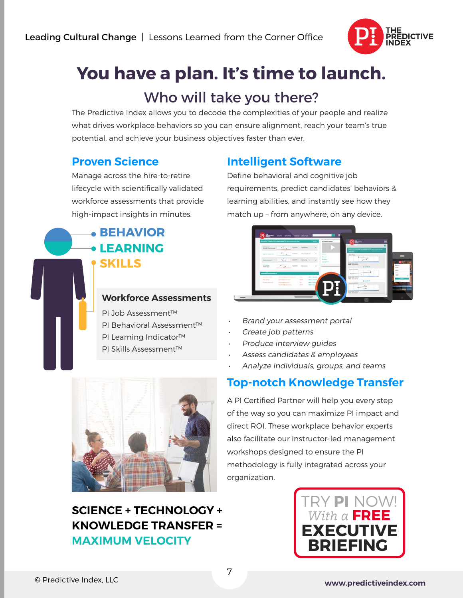

# Who will take you there? **You have a plan. It's time to launch.**

The Predictive Index allows you to decode the complexities of your people and realize what drives workplace behaviors so you can ensure alignment, reach your team's true potential, and achieve your business objectives faster than ever,

#### **Proven Science**

Manage across the hire-to-retire lifecycle with scientifically validated workforce assessments that provide high-impact insights in minutes.

### **BEHAVIOR LEARNING SKILLS**

#### **Workforce Assessments**

PI Job Assessment™ PI Behavioral Assessment™ PI Learning Indicator™ PI Skills Assessment™

### **Intelligent Software**

Define behavioral and cognitive job requirements, predict candidates' behaviors & learning abilities, and instantly see how they match up – from anywhere, on any device.



- Brand your assessment portal
- Create job patterns
- Produce interview guides
- Assess candidates & employees
- Analyze individuals, groups, and teams

### **Top-notch Knowledge Transfer**



### **SCIENCE + TECHNOLOGY + KNOWLEDGE TRANSFER = MAXIMUM VELOCITY**

A PI Certified Partner will help you every step of the way so you can maximize PI impact and direct ROI. These workplace behavior experts also facilitate our instructor-led management workshops designed to ensure the PI methodology is fully integrated across your organization.